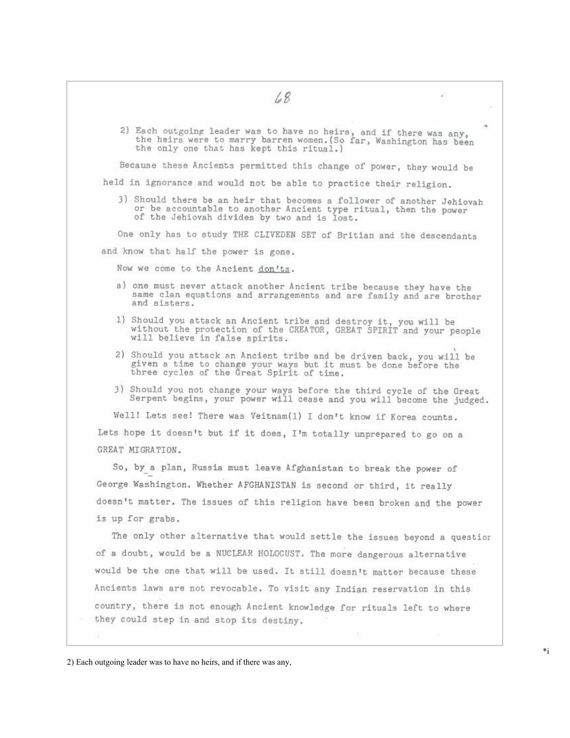- 68
- 2) Each outgoing leader was to have no heirs, and if there was any, the heirs were to marry barren women. (So far, Washington has been the only one that has kept this ritual.)

Because these Ancients permitted this change of power, they would be

held in ignorance and would not be able to practice their religion.

3) Should there be an heir that becomes a follower of another Jehiovah or be accountable to another Ancient type ritual, then the power of the Jehiovah divides by two and is lost.

One only has to study THE CLIVEDEN SET of Britian and the descendants

and know that half the power is gone.

Now we come to the Ancient don'ts.

- a) one must never attack another Ancient tribe because they have the same clan equations and arrangements and are family and are brother and sisters.
- 1) Should you attack an Ancient tribe and destroy it, you will be without the protection of the CREATOR, GREAT SPIRIT and your people will believe in false spirits.
- 2) Should you attack an Ancient tribe and be driven back, you will be given a time to change your ways but it must be done before the three cycles of the Great Spirit of time.
- 3) Should you not change your ways before the third cycle of the Great Serpent begins, your power will cease and you will become the judged.

Well! Lets see! There was Veitnam(1) I don't know if Korea counts. Lets hope it doesn't but if it does, I'm totally unprepared to go on a GREAT MIGRATION.

So, by a plan, Russia must leave Afghanistan to break the power of George Washington. Whether AFGHANISTAN is second or third, it really doesn't matter. The issues of this religion have been broken and the power is up for grabs.

The only other alternative that would settle the issues beyond a question of a doubt, would be a NUCLEAR HOLOCUST. The more dangerous alternative would be the one that will be used. It still doesn't matter because these Ancients laws are not revocable. To visit any Indian reservation in this country, there is not enough Ancient knowledge for rituals left to where they could step in and stop its destiny.

8

<sup>2)</sup> Each outgoing leader was to have no heirs, and if there was any,